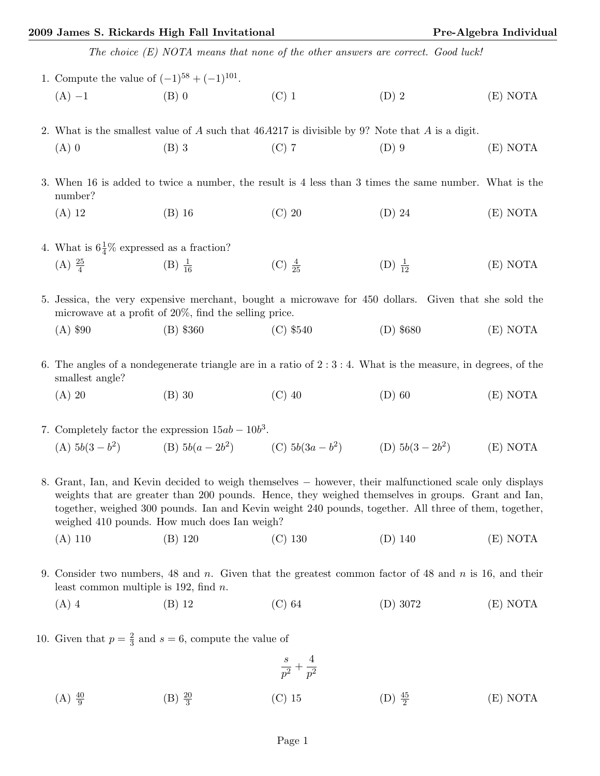## 2009 James S. Rickards High Fall Invitational Pre-Algebra Individual

| The choice (E) NOTA means that none of the other answers are correct. Good luck!                                                 |                                                                                                                                                                   |                                                                    |                    |          |  |  |  |
|----------------------------------------------------------------------------------------------------------------------------------|-------------------------------------------------------------------------------------------------------------------------------------------------------------------|--------------------------------------------------------------------|--------------------|----------|--|--|--|
| 1. Compute the value of $(-1)^{58} + (-1)^{101}$ .                                                                               |                                                                                                                                                                   |                                                                    |                    |          |  |  |  |
| $(A) -1$                                                                                                                         | $(B)$ 0                                                                                                                                                           | $(C)$ 1                                                            | $(D)$ 2            | (E) NOTA |  |  |  |
| 2. What is the smallest value of A such that $46A217$ is divisible by 9? Note that A is a digit.                                 |                                                                                                                                                                   |                                                                    |                    |          |  |  |  |
| $(A)$ 0                                                                                                                          | $(B)$ 3                                                                                                                                                           | $(C)$ 7                                                            | $(D)$ 9            | (E) NOTA |  |  |  |
| 3. When 16 is added to twice a number, the result is 4 less than 3 times the same number. What is the<br>number?                 |                                                                                                                                                                   |                                                                    |                    |          |  |  |  |
| $(A)$ 12                                                                                                                         | $(B)$ 16                                                                                                                                                          | $(C)$ 20                                                           | $(D)$ 24           | (E) NOTA |  |  |  |
| 4. What is $6\frac{1}{4}\%$ expressed as a fraction?                                                                             |                                                                                                                                                                   |                                                                    |                    |          |  |  |  |
| (A) $\frac{25}{4}$ (B) $\frac{1}{16}$                                                                                            |                                                                                                                                                                   | (C) $\frac{4}{25}$                                                 | $(D) \frac{1}{12}$ | (E) NOTA |  |  |  |
|                                                                                                                                  | 5. Jessica, the very expensive merchant, bought a microwave for 450 dollars. Given that she sold the<br>microwave at a profit of $20\%$ , find the selling price. |                                                                    |                    |          |  |  |  |
| $(A)$ \$90                                                                                                                       | $(B)$ \$360                                                                                                                                                       | $(C)$ \$540                                                        | $(D)$ \$680        | (E) NOTA |  |  |  |
| 6. The angles of a nondegenerate triangle are in a ratio of $2:3:4$ . What is the measure, in degrees, of the<br>smallest angle? |                                                                                                                                                                   |                                                                    |                    |          |  |  |  |
| $(A)$ 20                                                                                                                         | $(B)$ 30                                                                                                                                                          | $(C)$ 40                                                           | $(D)$ 60           | (E) NOTA |  |  |  |
| 7. Completely factor the expression $15ab - 10b^3$ .                                                                             |                                                                                                                                                                   |                                                                    |                    |          |  |  |  |
|                                                                                                                                  |                                                                                                                                                                   | (A) $5b(3-b^2)$ (B) $5b(a-2b^2)$ (C) $5b(3a-b^2)$ (D) $5b(3-2b^2)$ |                    | (E) NOTA |  |  |  |
|                                                                                                                                  |                                                                                                                                                                   |                                                                    |                    |          |  |  |  |

8. Grant, Ian, and Kevin decided to weigh themselves − however, their malfunctioned scale only displays weights that are greater than 200 pounds. Hence, they weighed themselves in groups. Grant and Ian, together, weighed 300 pounds. Ian and Kevin weight 240 pounds, together. All three of them, together, weighed 410 pounds. How much does Ian weigh?

- (A) 110 (B) 120 (C) 130 (D) 140 (E) NOTA
- 9. Consider two numbers, 48 and n. Given that the greatest common factor of 48 and n is 16, and their least common multiple is 192, find  $n$ .
	- (A) 4 (B) 12 (C) 64 (D) 3072 (E) NOTA
- 10. Given that  $p = \frac{2}{3}$  and  $s = 6$ , compute the value of

$$
\frac{s}{p^2}+\frac{4}{p^2}
$$

 $(A) \frac{40}{9}$ (B)  $\frac{20}{3}$ (C) 15 (D)  $\frac{45}{2}$ (E) NOTA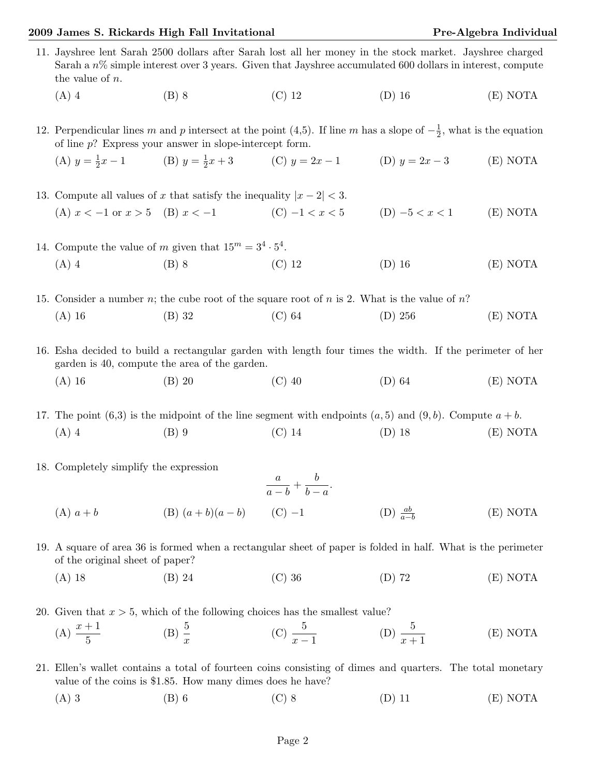## 2009 James S. Rickards High Fall Invitational Pre-Algebra Individual

|                                                                                              | 11. Jayshree lent Sarah 2500 dollars after Sarah lost all her money in the stock market. Jayshree charged<br>Sarah a $n\%$ simple interest over 3 years. Given that Jayshree accumulated 600 dollars in interest, compute<br>the value of $n$ . |                                                                                                              |                  |                      |          |  |
|----------------------------------------------------------------------------------------------|-------------------------------------------------------------------------------------------------------------------------------------------------------------------------------------------------------------------------------------------------|--------------------------------------------------------------------------------------------------------------|------------------|----------------------|----------|--|
|                                                                                              | $(A)$ 4                                                                                                                                                                                                                                         | $(B)$ 8                                                                                                      | $(C)$ 12         | $(D)$ 16             | (E) NOTA |  |
|                                                                                              | 12. Perpendicular lines m and p intersect at the point (4,5). If line m has a slope of $-\frac{1}{2}$ , what is the equation<br>of line $p$ ? Express your answer in slope-intercept form.                                                      |                                                                                                              |                  |                      |          |  |
|                                                                                              |                                                                                                                                                                                                                                                 | (A) $y = \frac{1}{2}x - 1$ (B) $y = \frac{1}{2}x + 3$ (C) $y = 2x - 1$ (D) $y = 2x - 3$                      |                  |                      | (E) NOTA |  |
|                                                                                              | 13. Compute all values of x that satisfy the inequality $ x-2  < 3$ .                                                                                                                                                                           |                                                                                                              |                  |                      |          |  |
|                                                                                              | (A) $x < -1$ or $x > 5$ (B) $x < -1$                                                                                                                                                                                                            |                                                                                                              | (C) $-1 < x < 5$ | $(D) -5 < x < 1$     | (E) NOTA |  |
| 14. Compute the value of m given that $15^m = 3^4 \cdot 5^4$ .                               |                                                                                                                                                                                                                                                 |                                                                                                              |                  |                      |          |  |
|                                                                                              | $(A)$ 4                                                                                                                                                                                                                                         | $(B)$ 8                                                                                                      | $(C)$ 12         | $(D)$ 16             | (E) NOTA |  |
| 15. Consider a number n; the cube root of the square root of n is 2. What is the value of n? |                                                                                                                                                                                                                                                 |                                                                                                              |                  |                      |          |  |
|                                                                                              | $(A)$ 16                                                                                                                                                                                                                                        | $(B)$ 32                                                                                                     | $(C)$ 64         | (D) 256              | (E) NOTA |  |
|                                                                                              | 16. Esha decided to build a rectangular garden with length four times the width. If the perimeter of her<br>garden is 40, compute the area of the garden.                                                                                       |                                                                                                              |                  |                      |          |  |
|                                                                                              | $(A)$ 16                                                                                                                                                                                                                                        | $(B)$ 20                                                                                                     | $(C)$ 40         | $(D)$ 64             | (E) NOTA |  |
|                                                                                              |                                                                                                                                                                                                                                                 | 17. The point (6,3) is the midpoint of the line segment with endpoints $(a,5)$ and $(9,b)$ . Compute $a+b$ . |                  |                      |          |  |
|                                                                                              | $(A)$ 4                                                                                                                                                                                                                                         | $(B)$ 9                                                                                                      | $(C)$ 14         | $(D)$ 18             | (E) NOTA |  |
|                                                                                              | 18. Completely simplify the expression<br>$\frac{a}{a-b}+\frac{b}{b-a}.$                                                                                                                                                                        |                                                                                                              |                  |                      |          |  |
|                                                                                              | $(A)$ $a + b$                                                                                                                                                                                                                                   | (B) $(a + b)(a - b)$ (C) -1                                                                                  |                  | $(D) \frac{ab}{a-b}$ | (E) NOTA |  |
|                                                                                              | 19. A square of area 36 is formed when a rectangular sheet of paper is folded in half. What is the perimeter<br>of the original sheet of paper?                                                                                                 |                                                                                                              |                  |                      |          |  |
|                                                                                              | $(A)$ 18                                                                                                                                                                                                                                        | $(B)$ 24                                                                                                     | $(C)$ 36         | $(D)$ 72             | (E) NOTA |  |
|                                                                                              |                                                                                                                                                                                                                                                 | 20. Given that $x > 5$ , which of the following choices has the smallest value?                              |                  |                      |          |  |

(A)  $\frac{x+1}{5}$ (B)  $\frac{5}{x}$ (C)  $\frac{5}{x-1}$ (D)  $\frac{5}{x+1}$  $(E)$  NOTA

21. Ellen's wallet contains a total of fourteen coins consisting of dimes and quarters. The total monetary value of the coins is \$1.85. How many dimes does he have?

(A) 3 (B) 6 (C) 8 (D) 11 (E) NOTA